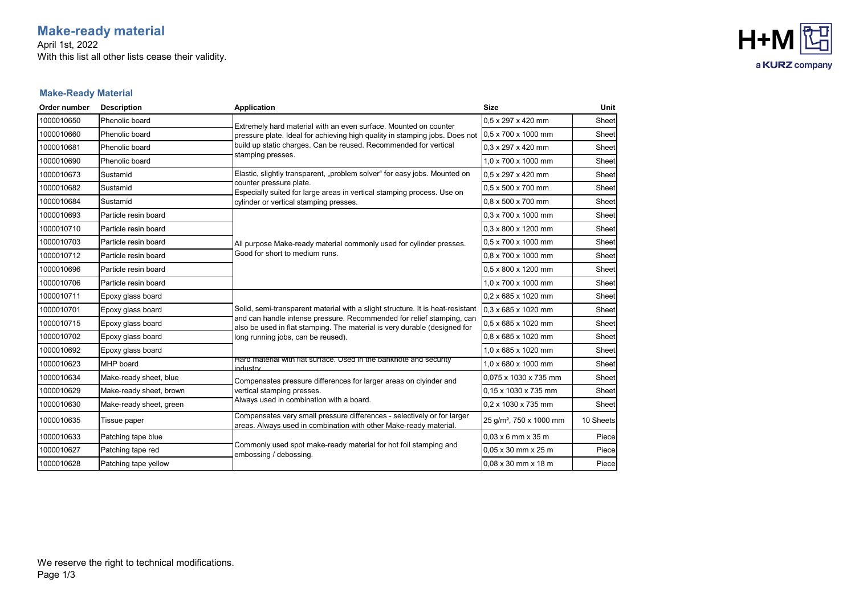# **Make-ready material**

April 1st, 2022 With this list all other lists cease their validity.



### **Make-Ready Material**

| Order number | <b>Description</b>      | <b>Application</b>                                                                                                                                 | <b>Size</b>                         | <b>Unit</b> |
|--------------|-------------------------|----------------------------------------------------------------------------------------------------------------------------------------------------|-------------------------------------|-------------|
| 1000010650   | Phenolic board          | Extremely hard material with an even surface. Mounted on counter<br>pressure plate. Ideal for achieving high quality in stamping jobs. Does not    | 0.5 x 297 x 420 mm                  | Sheet       |
| 1000010660   | Phenolic board          |                                                                                                                                                    | 0.5 x 700 x 1000 mm                 | Sheet       |
| 1000010681   | Phenolic board          | build up static charges. Can be reused. Recommended for vertical                                                                                   | $0.3 \times 297 \times 420$ mm      | Sheet       |
| 1000010690   | Phenolic board          | stamping presses.                                                                                                                                  | 1.0 x 700 x 1000 mm                 | Sheet       |
| 1000010673   | Sustamid                | Elastic, slightly transparent, "problem solver" for easy jobs. Mounted on                                                                          | 0.5 x 297 x 420 mm                  | Sheet       |
| 1000010682   | Sustamid                | counter pressure plate.<br>Especially suited for large areas in vertical stamping process. Use on                                                  | $0.5 \times 500 \times 700$ mm      | Sheet       |
| 1000010684   | Sustamid                | cylinder or vertical stamping presses.                                                                                                             | 0.8 x 500 x 700 mm                  | Sheet       |
| 1000010693   | Particle resin board    |                                                                                                                                                    | $0.3 \times 700 \times 1000$ mm     | Sheet       |
| 1000010710   | Particle resin board    |                                                                                                                                                    | 0.3 x 800 x 1200 mm                 | Sheet       |
| 1000010703   | Particle resin board    | All purpose Make-ready material commonly used for cylinder presses.                                                                                | 0.5 x 700 x 1000 mm                 | Sheet       |
| 1000010712   | Particle resin board    | Good for short to medium runs.                                                                                                                     | 0.8 x 700 x 1000 mm                 | Sheet       |
| 1000010696   | Particle resin board    |                                                                                                                                                    | 0.5 x 800 x 1200 mm                 | Sheet       |
| 1000010706   | Particle resin board    |                                                                                                                                                    | 1,0 x 700 x 1000 mm                 | Sheet       |
| 1000010711   | Epoxy glass board       |                                                                                                                                                    | 0.2 x 685 x 1020 mm                 | Sheet       |
| 1000010701   | Epoxy glass board       | Solid, semi-transparent material with a slight structure. It is heat-resistant                                                                     | 0.3 x 685 x 1020 mm                 | Sheet       |
| 1000010715   | Epoxy glass board       | and can handle intense pressure. Recommended for relief stamping, can<br>also be used in flat stamping. The material is very durable (designed for | 0,5 x 685 x 1020 mm                 | Sheet       |
| 1000010702   | Epoxy glass board       | long running jobs, can be reused).                                                                                                                 | 0,8 x 685 x 1020 mm                 | Sheet       |
| 1000010692   | Epoxy glass board       |                                                                                                                                                    | 1.0 x 685 x 1020 mm                 | Sheet       |
| 1000010623   | MHP board               | Hard material with flat surface. Used in the banknote and security<br>ndustry                                                                      | 1.0 x 680 x 1000 mm                 | Sheet       |
| 1000010634   | Make-ready sheet, blue  | Compensates pressure differences for larger areas on clyinder and                                                                                  | 0.075 x 1030 x 735 mm               | Sheet       |
| 1000010629   | Make-ready sheet, brown | vertical stamping presses.                                                                                                                         | 0.15 x 1030 x 735 mm                | Sheet       |
| 1000010630   | Make-ready sheet, green | Always used in combination with a board.                                                                                                           | 0,2 x 1030 x 735 mm                 | Sheet       |
| 1000010635   | Tissue paper            | Compensates very small pressure differences - selectively or for larger<br>areas. Always used in combination with other Make-ready material.       | 25 g/m <sup>2</sup> , 750 x 1000 mm | 10 Sheets   |
| 1000010633   | Patching tape blue      |                                                                                                                                                    | $0.03 \times 6$ mm $\times 35$ m    | Piece       |
| 1000010627   | Patching tape red       | Commonly used spot make-ready material for hot foil stamping and<br>embossing / debossing.                                                         | $0.05 \times 30$ mm $\times 25$ m   | Piece       |
| 1000010628   | Patching tape yellow    |                                                                                                                                                    | 0.08 x 30 mm x 18 m                 | Piece       |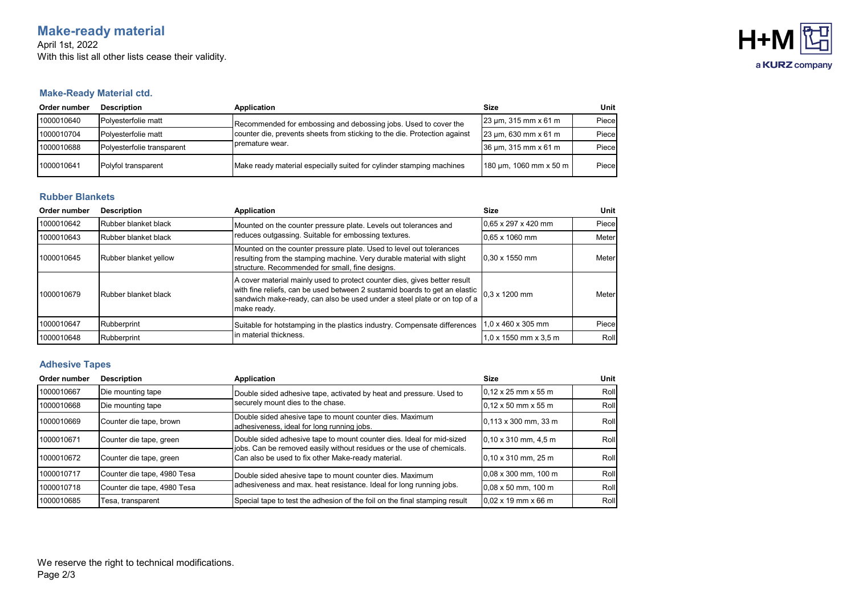## **Make-ready material**

April 1st, 2022 With this list all other lists cease their validity.



#### **Make-Ready Material ctd.**

| Order number | <b>Description</b>         | Application                                                                                                                                                     | Size                       | Unit                 |       |
|--------------|----------------------------|-----------------------------------------------------------------------------------------------------------------------------------------------------------------|----------------------------|----------------------|-------|
| 1000010640   | Polvesterfolie matt        | Recommended for embossing and debossing jobs. Used to cover the<br>counter die, prevents sheets from sticking to the die. Protection against<br>premature wear. | $23 \mu m$ , 315 mm x 61 m | Piece                |       |
| 1000010704   | Polyesterfolie matt        |                                                                                                                                                                 |                            | 23 µm, 630 mm x 61 m | Piece |
| 1000010688   | Polvesterfolie transparent |                                                                                                                                                                 | $36 \mu m$ , 315 mm x 61 m | Piece                |       |
| 1000010641   | Polyfol transparent        | Make ready material especially suited for cylinder stamping machines                                                                                            | 180 µm, 1060 mm x 50 m     | Piece                |       |

#### **Rubber Blankets**

| Order number | <b>Description</b>    | Application                                                                                                                                                                                                                                        | Size                                | Unit  |
|--------------|-----------------------|----------------------------------------------------------------------------------------------------------------------------------------------------------------------------------------------------------------------------------------------------|-------------------------------------|-------|
| 1000010642   | Rubber blanket black  | Mounted on the counter pressure plate. Levels out tolerances and<br>reduces outgassing. Suitable for embossing textures.                                                                                                                           | $0.65 \times 297 \times 420$ mm     | Piece |
| 1000010643   | Rubber blanket black  |                                                                                                                                                                                                                                                    | 0.65 x 1060 mm                      | Meter |
| 1000010645   | Rubber blanket yellow | Mounted on the counter pressure plate. Used to level out tolerances<br>resulting from the stamping machine. Very durable material with slight<br>structure. Recommended for small, fine designs.                                                   | $0.30 \times 1550$ mm               | Meter |
| 1000010679   | Rubber blanket black  | A cover material mainly used to protect counter dies, gives better result<br>with fine reliefs, can be used between 2 sustamid boards to get an elastic<br>sandwich make-ready, can also be used under a steel plate or on top of a<br>make ready. | $0.3 \times 1200$ mm                | Meter |
| 1000010647   | <b>Rubberprint</b>    | Suitable for hotstamping in the plastics industry. Compensate differences<br>in material thickness.                                                                                                                                                | $0 \times 460 \times 305$ mm        | Piece |
| 1000010648   | Rubberprint           |                                                                                                                                                                                                                                                    | $1.0 \times 1550$ mm $\times 3.5$ m | Roll  |

#### **Adhesive Tapes**

| Order number | <b>Description</b>          | Application                                                                                                                                                                                          | Size                              | Unit |
|--------------|-----------------------------|------------------------------------------------------------------------------------------------------------------------------------------------------------------------------------------------------|-----------------------------------|------|
| 1000010667   | Die mounting tape           | Double sided adhesive tape, activated by heat and pressure. Used to<br>securely mount dies to the chase.                                                                                             | $0.12 \times 25$ mm $\times 55$ m | Roll |
| 1000010668   | Die mounting tape           |                                                                                                                                                                                                      | $0.12 \times 50$ mm $\times 55$ m | Roll |
| 1000010669   | Counter die tape, brown     | Double sided ahesive tape to mount counter dies. Maximum<br>adhesiveness, ideal for long running jobs.                                                                                               | $0,113 \times 300$ mm, 33 m       | Roll |
| 1000010671   | Counter die tape, green     | Double sided adhesive tape to mount counter dies. Ideal for mid-sized<br>jobs. Can be removed easily without residues or the use of chemicals.<br>Can also be used to fix other Make-ready material. | $0.10 \times 310$ mm, 4,5 m       | Roll |
| 1000010672   | Counter die tape, green     |                                                                                                                                                                                                      | $10.10 \times 310$ mm, 25 m       | Roll |
| 1000010717   | Counter die tape, 4980 Tesa | Double sided ahesive tape to mount counter dies. Maximum<br>adhesiveness and max. heat resistance. Ideal for long running jobs.                                                                      | 0.08 x 300 mm, 100 m              | Roll |
| 1000010718   | Counter die tape, 4980 Tesa |                                                                                                                                                                                                      | $0.08 \times 50$ mm, 100 m        | Roll |
| 1000010685   | Tesa, transparent           | Special tape to test the adhesion of the foil on the final stamping result                                                                                                                           | $0.02 \times 19$ mm $\times$ 66 m | Roll |